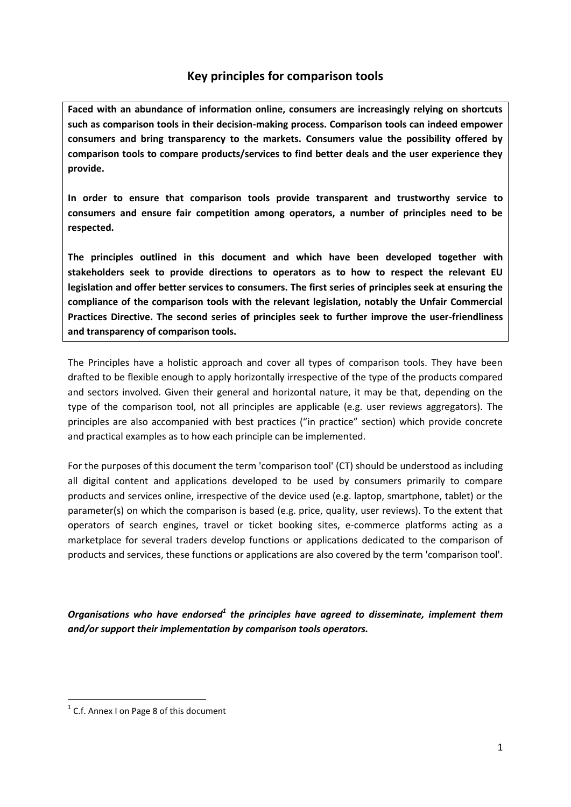# **Key principles for comparison tools**

**Faced with an abundance of information online, consumers are increasingly relying on shortcuts such as comparison tools in their decision-making process. Comparison tools can indeed empower consumers and bring transparency to the markets. Consumers value the possibility offered by comparison tools to compare products/services to find better deals and the user experience they provide.** 

**In order to ensure that comparison tools provide transparent and trustworthy service to consumers and ensure fair competition among operators, a number of principles need to be respected.** 

**The principles outlined in this document and which have been developed together with stakeholders seek to provide directions to operators as to how to respect the relevant EU legislation and offer better services to consumers. The first series of principles seek at ensuring the compliance of the comparison tools with the relevant legislation, notably the Unfair Commercial Practices Directive. The second series of principles seek to further improve the user-friendliness and transparency of comparison tools.**

The Principles have a holistic approach and cover all types of comparison tools. They have been drafted to be flexible enough to apply horizontally irrespective of the type of the products compared and sectors involved. Given their general and horizontal nature, it may be that, depending on the type of the comparison tool, not all principles are applicable (e.g. user reviews aggregators). The principles are also accompanied with best practices ("in practice" section) which provide concrete and practical examples as to how each principle can be implemented.

For the purposes of this document the term 'comparison tool' (CT) should be understood as including all digital content and applications developed to be used by consumers primarily to compare products and services online, irrespective of the device used (e.g. laptop, smartphone, tablet) or the parameter(s) on which the comparison is based (e.g. price, quality, user reviews). To the extent that operators of search engines, travel or ticket booking sites, e-commerce platforms acting as a marketplace for several traders develop functions or applications dedicated to the comparison of products and services, these functions or applications are also covered by the term 'comparison tool'.

*Organisations who have endorsed<sup>1</sup> the principles have agreed to disseminate, implement them and/or support their implementation by comparison tools operators.* 

 $\overline{a}$ 

<sup>&</sup>lt;sup>1</sup> C.f. Annex I on Page 8 of this document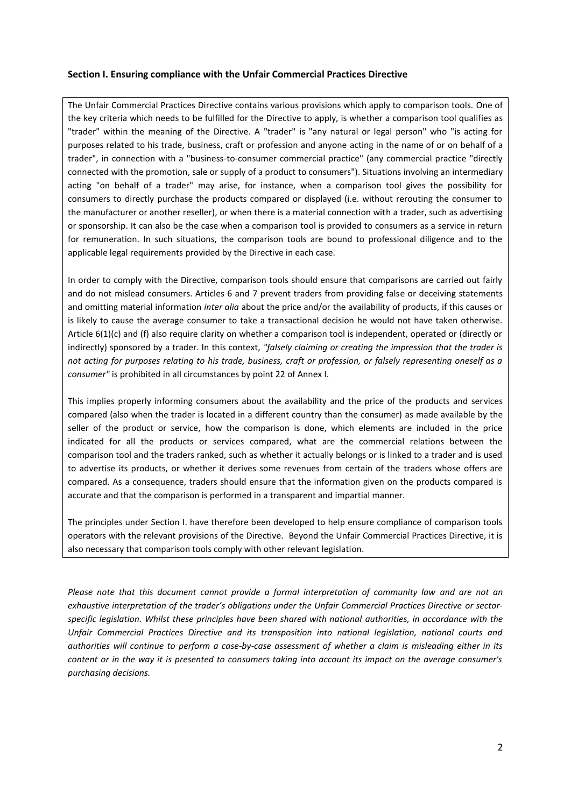#### **Section I. Ensuring compliance with the Unfair Commercial Practices Directive**

The Unfair Commercial Practices Directive contains various provisions which apply to comparison tools. One of the key criteria which needs to be fulfilled for the Directive to apply, is whether a comparison tool qualifies as "trader" within the meaning of the Directive. A "trader" is "any natural or legal person" who "is acting for purposes related to his trade, business, craft or profession and anyone acting in the name of or on behalf of a trader", in connection with a "business-to-consumer commercial practice" (any commercial practice "directly connected with the promotion, sale or supply of a product to consumers"). Situations involving an intermediary acting "on behalf of a trader" may arise, for instance, when a comparison tool gives the possibility for consumers to directly purchase the products compared or displayed (i.e. without rerouting the consumer to the manufacturer or another reseller), or when there is a material connection with a trader, such as advertising or sponsorship. It can also be the case when a comparison tool is provided to consumers as a service in return for remuneration. In such situations, the comparison tools are bound to professional diligence and to the applicable legal requirements provided by the Directive in each case.

In order to comply with the Directive, comparison tools should ensure that comparisons are carried out fairly and do not mislead consumers. Articles 6 and 7 prevent traders from providing false or deceiving statements and omitting material information *inter alia* about the price and/or the availability of products, if this causes or is likely to cause the average consumer to take a transactional decision he would not have taken otherwise. Article 6(1)(c) and (f) also require clarity on whether a comparison tool is independent, operated or (directly or indirectly) sponsored by a trader. In this context, *"falsely claiming or creating the impression that the trader is not acting for purposes relating to his trade, business, craft or profession, or falsely representing oneself as a consumer"* is prohibited in all circumstances by point 22 of Annex I.

This implies properly informing consumers about the availability and the price of the products and services compared (also when the trader is located in a different country than the consumer) as made available by the seller of the product or service, how the comparison is done, which elements are included in the price indicated for all the products or services compared, what are the commercial relations between the comparison tool and the traders ranked, such as whether it actually belongs or is linked to a trader and is used to advertise its products, or whether it derives some revenues from certain of the traders whose offers are compared. As a consequence, traders should ensure that the information given on the products compared is accurate and that the comparison is performed in a transparent and impartial manner.

The principles under Section I. have therefore been developed to help ensure compliance of comparison tools operators with the relevant provisions of the Directive. Beyond the Unfair Commercial Practices Directive, it is also necessary that comparison tools comply with other relevant legislation.

*Please note that this document cannot provide a formal interpretation of community law and are not an exhaustive interpretation of the trader's obligations under the Unfair Commercial Practices Directive or sectorspecific legislation. Whilst these principles have been shared with national authorities, in accordance with the Unfair Commercial Practices Directive and its transposition into national legislation, national courts and authorities will continue to perform a case-by-case assessment of whether a claim is misleading either in its content or in the way it is presented to consumers taking into account its impact on the average consumer's purchasing decisions.*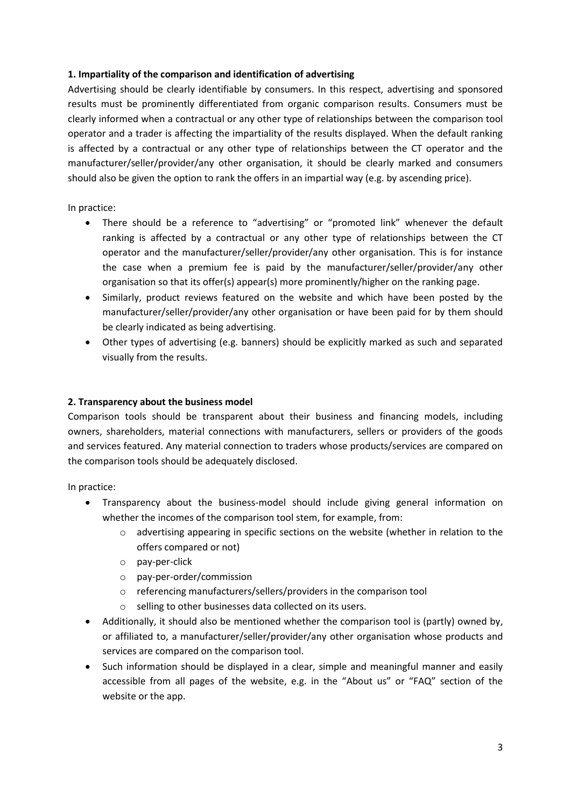### **1. Impartiality of the comparison and identification of advertising**

Advertising should be clearly identifiable by consumers. In this respect, advertising and sponsored results must be prominently differentiated from organic comparison results. Consumers must be clearly informed when a contractual or any other type of relationships between the comparison tool operator and a trader is affecting the impartiality of the results displayed. When the default ranking is affected by a contractual or any other type of relationships between the CT operator and the manufacturer/seller/provider/any other organisation, it should be clearly marked and consumers should also be given the option to rank the offers in an impartial way (e.g. by ascending price).

In practice:

- There should be a reference to "advertising" or "promoted link" whenever the default ranking is affected by a contractual or any other type of relationships between the CT operator and the manufacturer/seller/provider/any other organisation. This is for instance the case when a premium fee is paid by the manufacturer/seller/provider/any other organisation so that its offer(s) appear(s) more prominently/higher on the ranking page.
- Similarly, product reviews featured on the website and which have been posted by the manufacturer/seller/provider/any other organisation or have been paid for by them should be clearly indicated as being advertising.
- Other types of advertising (e.g. banners) should be explicitly marked as such and separated visually from the results.

#### **2. Transparency about the business model**

Comparison tools should be transparent about their business and financing models, including owners, shareholders, material connections with manufacturers, sellers or providers of the goods and services featured. Any material connection to traders whose products/services are compared on the comparison tools should be adequately disclosed.

- Transparency about the business-model should include giving general information on whether the incomes of the comparison tool stem, for example, from:
	- o advertising appearing in specific sections on the website (whether in relation to the offers compared or not)
	- o pay-per-click
	- o pay-per-order/commission
	- o referencing manufacturers/sellers/providers in the comparison tool
	- o selling to other businesses data collected on its users.
- Additionally, it should also be mentioned whether the comparison tool is (partly) owned by, or affiliated to, a manufacturer/seller/provider/any other organisation whose products and services are compared on the comparison tool.
- Such information should be displayed in a clear, simple and meaningful manner and easily accessible from all pages of the website, e.g. in the "About us" or "FAQ" section of the website or the app.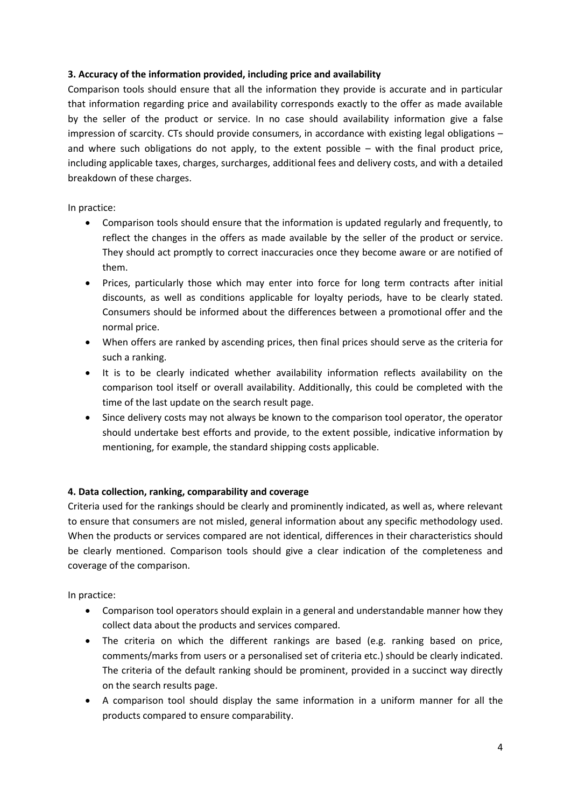# **3. Accuracy of the information provided, including price and availability**

Comparison tools should ensure that all the information they provide is accurate and in particular that information regarding price and availability corresponds exactly to the offer as made available by the seller of the product or service. In no case should availability information give a false impression of scarcity. CTs should provide consumers, in accordance with existing legal obligations – and where such obligations do not apply, to the extent possible – with the final product price, including applicable taxes, charges, surcharges, additional fees and delivery costs, and with a detailed breakdown of these charges.

In practice:

- Comparison tools should ensure that the information is updated regularly and frequently, to reflect the changes in the offers as made available by the seller of the product or service. They should act promptly to correct inaccuracies once they become aware or are notified of them.
- Prices, particularly those which may enter into force for long term contracts after initial discounts, as well as conditions applicable for loyalty periods, have to be clearly stated. Consumers should be informed about the differences between a promotional offer and the normal price.
- When offers are ranked by ascending prices, then final prices should serve as the criteria for such a ranking.
- It is to be clearly indicated whether availability information reflects availability on the comparison tool itself or overall availability. Additionally, this could be completed with the time of the last update on the search result page.
- Since delivery costs may not always be known to the comparison tool operator, the operator should undertake best efforts and provide, to the extent possible, indicative information by mentioning, for example, the standard shipping costs applicable.

## **4. Data collection, ranking, comparability and coverage**

Criteria used for the rankings should be clearly and prominently indicated, as well as, where relevant to ensure that consumers are not misled, general information about any specific methodology used. When the products or services compared are not identical, differences in their characteristics should be clearly mentioned. Comparison tools should give a clear indication of the completeness and coverage of the comparison.

- Comparison tool operators should explain in a general and understandable manner how they collect data about the products and services compared.
- The criteria on which the different rankings are based (e.g. ranking based on price, comments/marks from users or a personalised set of criteria etc.) should be clearly indicated. The criteria of the default ranking should be prominent, provided in a succinct way directly on the search results page.
- A comparison tool should display the same information in a uniform manner for all the products compared to ensure comparability.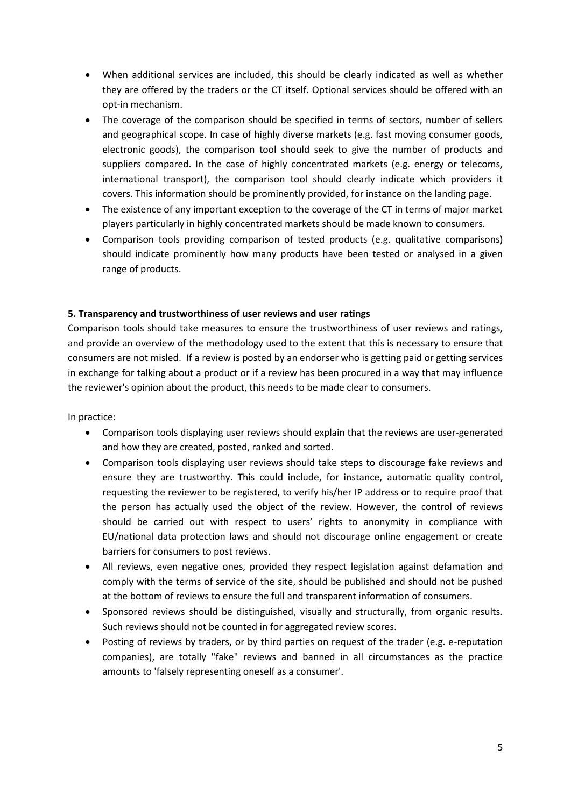- When additional services are included, this should be clearly indicated as well as whether they are offered by the traders or the CT itself. Optional services should be offered with an opt-in mechanism.
- The coverage of the comparison should be specified in terms of sectors, number of sellers and geographical scope. In case of highly diverse markets (e.g. fast moving consumer goods, electronic goods), the comparison tool should seek to give the number of products and suppliers compared. In the case of highly concentrated markets (e.g. energy or telecoms, international transport), the comparison tool should clearly indicate which providers it covers. This information should be prominently provided, for instance on the landing page.
- The existence of any important exception to the coverage of the CT in terms of major market players particularly in highly concentrated markets should be made known to consumers.
- Comparison tools providing comparison of tested products (e.g. qualitative comparisons) should indicate prominently how many products have been tested or analysed in a given range of products.

## **5. Transparency and trustworthiness of user reviews and user ratings**

Comparison tools should take measures to ensure the trustworthiness of user reviews and ratings, and provide an overview of the methodology used to the extent that this is necessary to ensure that consumers are not misled. If a review is posted by an endorser who is getting paid or getting services in exchange for talking about a product or if a review has been procured in a way that may influence the reviewer's opinion about the product, this needs to be made clear to consumers.

- Comparison tools displaying user reviews should explain that the reviews are user-generated and how they are created, posted, ranked and sorted.
- Comparison tools displaying user reviews should take steps to discourage fake reviews and ensure they are trustworthy. This could include, for instance, automatic quality control, requesting the reviewer to be registered, to verify his/her IP address or to require proof that the person has actually used the object of the review. However, the control of reviews should be carried out with respect to users' rights to anonymity in compliance with EU/national data protection laws and should not discourage online engagement or create barriers for consumers to post reviews.
- All reviews, even negative ones, provided they respect legislation against defamation and comply with the terms of service of the site, should be published and should not be pushed at the bottom of reviews to ensure the full and transparent information of consumers.
- Sponsored reviews should be distinguished, visually and structurally, from organic results. Such reviews should not be counted in for aggregated review scores.
- Posting of reviews by traders, or by third parties on request of the trader (e.g. e-reputation companies), are totally "fake" reviews and banned in all circumstances as the practice amounts to 'falsely representing oneself as a consumer'.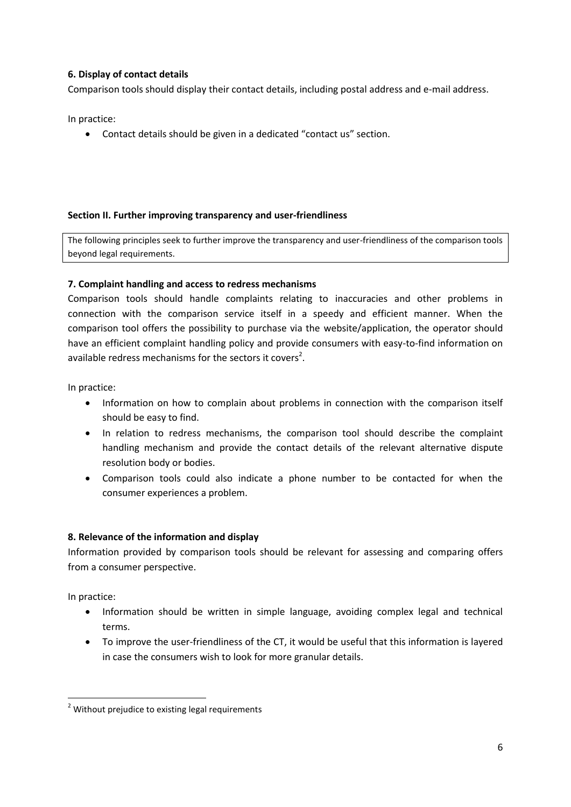## **6. Display of contact details**

Comparison tools should display their contact details, including postal address and e-mail address.

In practice:

Contact details should be given in a dedicated "contact us" section.

#### **Section II. Further improving transparency and user-friendliness**

The following principles seek to further improve the transparency and user-friendliness of the comparison tools beyond legal requirements.

#### **7. Complaint handling and access to redress mechanisms**

Comparison tools should handle complaints relating to inaccuracies and other problems in connection with the comparison service itself in a speedy and efficient manner. When the comparison tool offers the possibility to purchase via the website/application, the operator should have an efficient complaint handling policy and provide consumers with easy-to-find information on available redress mechanisms for the sectors it covers<sup>2</sup>.

In practice:

- Information on how to complain about problems in connection with the comparison itself should be easy to find.
- In relation to redress mechanisms, the comparison tool should describe the complaint handling mechanism and provide the contact details of the relevant alternative dispute resolution body or bodies.
- Comparison tools could also indicate a phone number to be contacted for when the consumer experiences a problem.

#### **8. Relevance of the information and display**

Information provided by comparison tools should be relevant for assessing and comparing offers from a consumer perspective.

In practice:

1

- Information should be written in simple language, avoiding complex legal and technical terms.
- To improve the user-friendliness of the CT, it would be useful that this information is layered in case the consumers wish to look for more granular details.

<sup>&</sup>lt;sup>2</sup> Without prejudice to existing legal requirements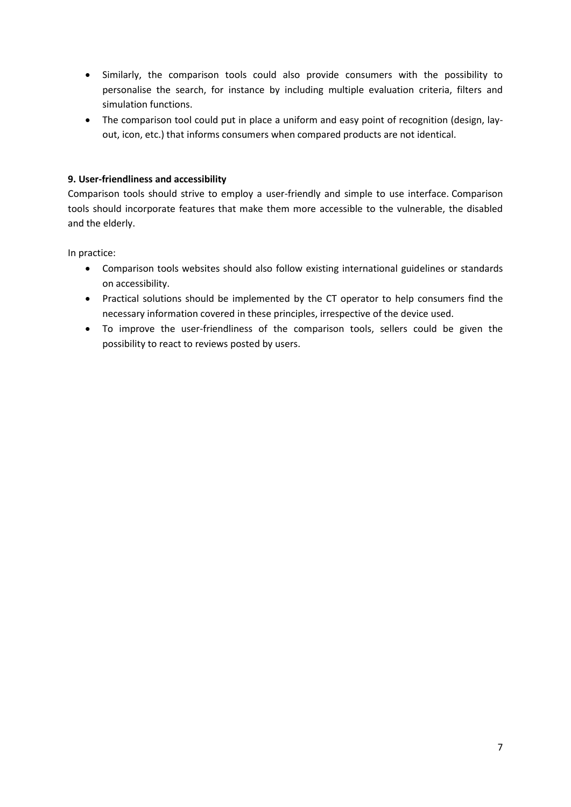- Similarly, the comparison tools could also provide consumers with the possibility to personalise the search, for instance by including multiple evaluation criteria, filters and simulation functions.
- The comparison tool could put in place a uniform and easy point of recognition (design, layout, icon, etc.) that informs consumers when compared products are not identical.

# **9. User-friendliness and accessibility**

Comparison tools should strive to employ a user-friendly and simple to use interface. Comparison tools should incorporate features that make them more accessible to the vulnerable, the disabled and the elderly.

- Comparison tools websites should also follow existing international guidelines or standards on accessibility.
- Practical solutions should be implemented by the CT operator to help consumers find the necessary information covered in these principles, irrespective of the device used.
- To improve the user-friendliness of the comparison tools, sellers could be given the possibility to react to reviews posted by users.